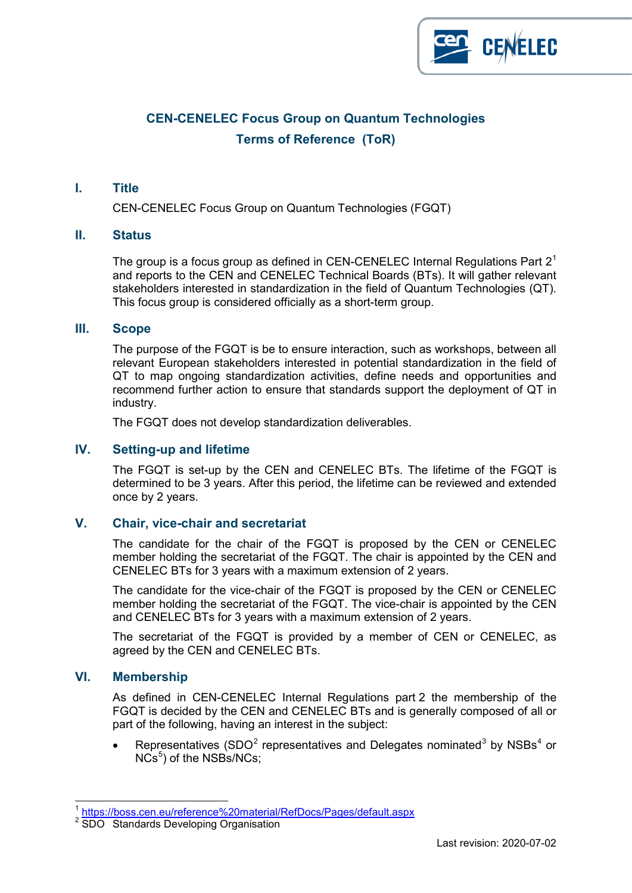

# **CEN-CENELEC Focus Group on Quantum Technologies Terms of Reference (ToR)**

#### **I. Title**

CEN-CENELEC Focus Group on Quantum Technologies (FGQT)

#### **II. Status**

The group is a focus group as defined in CEN-CENELEC Internal Regulations Part  $2<sup>1</sup>$  $2<sup>1</sup>$  $2<sup>1</sup>$ and reports to the CEN and CENELEC Technical Boards (BTs). It will gather relevant stakeholders interested in standardization in the field of Quantum Technologies (QT). This focus group is considered officially as a short-term group.

#### **III. Scope**

The purpose of the FGQT is be to ensure interaction, such as workshops, between all relevant European stakeholders interested in potential standardization in the field of QT to map ongoing standardization activities, define needs and opportunities and recommend further action to ensure that standards support the deployment of QT in industry.

The FGQT does not develop standardization deliverables.

## **IV. Setting-up and lifetime**

The FGQT is set-up by the CEN and CENELEC BTs. The lifetime of the FGQT is determined to be 3 years. After this period, the lifetime can be reviewed and extended once by 2 years.

### **V. Chair, vice-chair and secretariat**

The candidate for the chair of the FGQT is proposed by the CEN or CENELEC member holding the secretariat of the FGQT. The chair is appointed by the CEN and CENELEC BTs for 3 years with a maximum extension of 2 years.

The candidate for the vice-chair of the FGQT is proposed by the CEN or CENELEC member holding the secretariat of the FGQT. The vice-chair is appointed by the CEN and CENELEC BTs for 3 years with a maximum extension of 2 years.

The secretariat of the FGQT is provided by a member of CEN or CENELEC, as agreed by the CEN and CENELEC BTs.

#### **VI. Membership**

As defined in CEN-CENELEC Internal Regulations part 2 the membership of the FGQT is decided by the CEN and CENELEC BTs and is generally composed of all or part of the following, having an interest in the subject:

Representatives (SDO<sup>[2](#page-0-1)</sup> representatives and Delegates nominated<sup>[3](#page-0-2)</sup> by NSBs<sup>[4](#page-0-3)</sup> or  $NCs<sup>5</sup>$  $NCs<sup>5</sup>$  $NCs<sup>5</sup>$ ) of the NSBs/NCs;

<span id="page-0-4"></span><span id="page-0-3"></span><span id="page-0-2"></span> <sup>1</sup> <https://boss.cen.eu/reference%20material/RefDocs/Pages/default.aspx>

<span id="page-0-1"></span><span id="page-0-0"></span><sup>&</sup>lt;sup>2</sup> SDO Standards Developing Organisation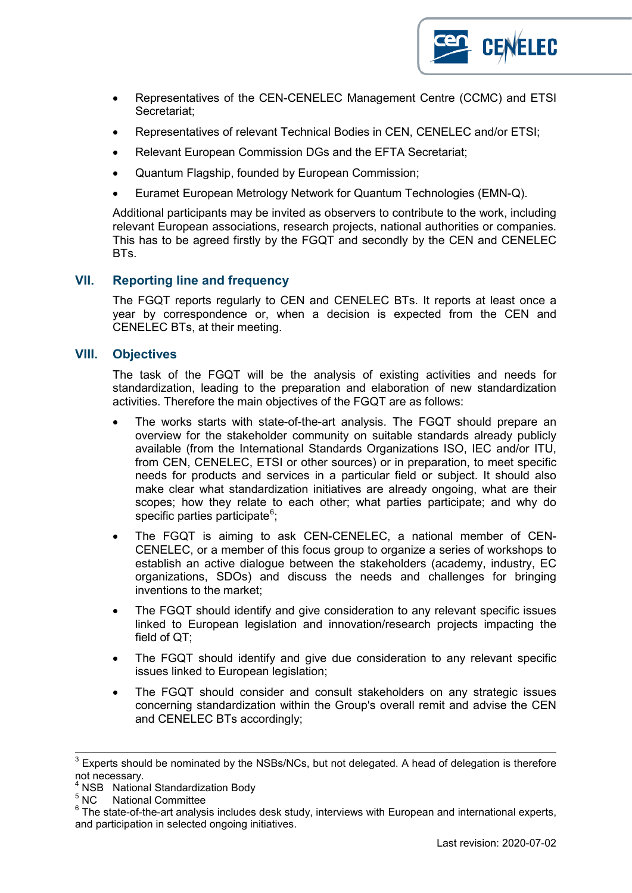

- Representatives of the CEN-CENELEC Management Centre (CCMC) and ETSI Secretariat;
- Representatives of relevant Technical Bodies in CEN, CENELEC and/or ETSI;
- Relevant European Commission DGs and the EFTA Secretariat;
- Quantum Flagship, founded by European Commission;
- Euramet European Metrology Network for Quantum Technologies (EMN-Q).

Additional participants may be invited as observers to contribute to the work, including relevant European associations, research projects, national authorities or companies. This has to be agreed firstly by the FGQT and secondly by the CEN and CENELEC BTs.

## **VII. Reporting line and frequency**

The FGQT reports regularly to CEN and CENELEC BTs. It reports at least once a year by correspondence or, when a decision is expected from the CEN and CENELEC BTs, at their meeting.

#### **VIII. Objectives**

The task of the FGQT will be the analysis of existing activities and needs for standardization, leading to the preparation and elaboration of new standardization activities. Therefore the main objectives of the FGQT are as follows:

- The works starts with state-of-the-art analysis. The FGQT should prepare an overview for the stakeholder community on suitable standards already publicly available (from the International Standards Organizations ISO, IEC and/or ITU, from CEN, CENELEC, ETSI or other sources) or in preparation, to meet specific needs for products and services in a particular field or subject. It should also make clear what standardization initiatives are already ongoing, what are their scopes; how they relate to each other; what parties participate; and why do specific parties participate $^6$  $^6$ ;
- The FGQT is aiming to ask CEN-CENELEC, a national member of CEN-CENELEC, or a member of this focus group to organize a series of workshops to establish an active dialogue between the stakeholders (academy, industry, EC organizations, SDOs) and discuss the needs and challenges for bringing inventions to the market;
- The FGQT should identify and give consideration to any relevant specific issues linked to European legislation and innovation/research projects impacting the field of QT;
- The FGQT should identify and give due consideration to any relevant specific issues linked to European legislation;
- The FGQT should consider and consult stakeholders on any strategic issues concerning standardization within the Group's overall remit and advise the CEN and CENELEC BTs accordingly;

 $3$  Experts should be nominated by the NSBs/NCs, but not delegated. A head of delegation is therefore not necessary.

 $4$  NSB National Standardization Body<br>  $5$  NC National Committee

<span id="page-1-0"></span> $6$  The state-of-the-art analysis includes desk study, interviews with European and international experts, and participation in selected ongoing initiatives.